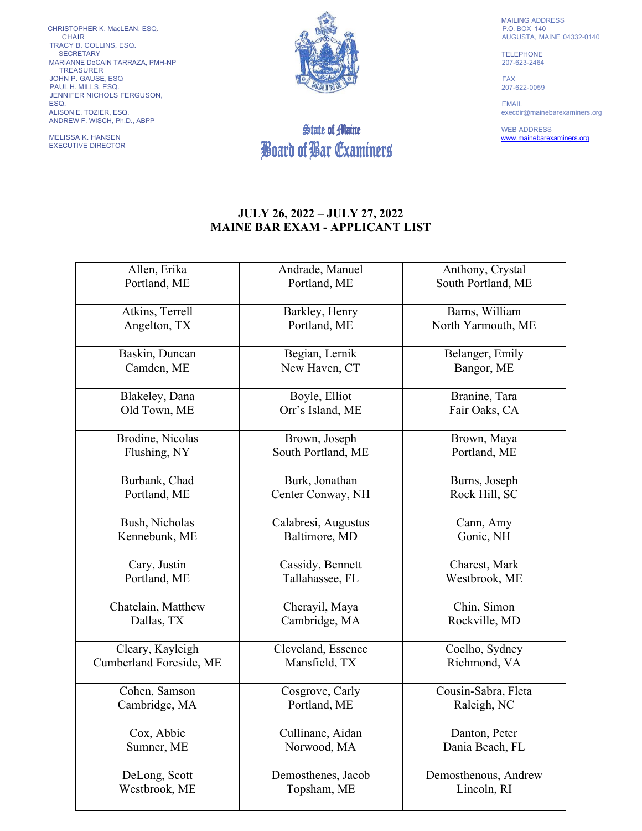CHRISTOPHER K. MacLEAN, ESQ. CHAIR TRACY B. COLLINS, ESQ. SECRETARY MARIANNE DeCAIN TARRAZA, PMH-NP TREASURER JOHN P. GAUSE, ESQ PAUL H. MILLS, ESQ. JENNIFER NICHOLS FERGUSON, ESQ. ALISON E. TOZIER, ESQ. ANDREW F. WISCH, Ph.D., ABPP

MELISSA K. HANSEN EXECUTIVE DIRECTOR



## State of Maine Board of Bar Examiners

MAILING ADDRESS P.O. BOX 140 AUGUSTA, MAINE 04332-0140

TELEPHONE 207-623-2464

FAX 207-622-0059

EMAIL execdir@mainebarexaminers.org

WEB ADDRESS [www.mainebarexaminers.org](http://www.mainebarexaminers.org/)

## **JULY 26, 2022 – JULY 27, 2022 MAINE BAR EXAM - APPLICANT LIST**

| Allen, Erika            | Andrade, Manuel     | Anthony, Crystal     |
|-------------------------|---------------------|----------------------|
| Portland, ME            | Portland, ME        | South Portland, ME   |
| Atkins, Terrell         | Barkley, Henry      | Barns, William       |
| Angelton, TX            | Portland, ME        | North Yarmouth, ME   |
| Baskin, Duncan          | Begian, Lernik      | Belanger, Emily      |
| Camden, ME              | New Haven, CT       | Bangor, ME           |
| Blakeley, Dana          | Boyle, Elliot       | Branine, Tara        |
| Old Town, ME            | Orr's Island, ME    | Fair Oaks, CA        |
| Brodine, Nicolas        | Brown, Joseph       | Brown, Maya          |
| Flushing, NY            | South Portland, ME  | Portland, ME         |
| Burbank, Chad           | Burk, Jonathan      | Burns, Joseph        |
| Portland, ME            | Center Conway, NH   | Rock Hill, SC        |
| Bush, Nicholas          | Calabresi, Augustus | Cann, Amy            |
| Kennebunk, ME           | Baltimore, MD       | Gonic, NH            |
| Cary, Justin            | Cassidy, Bennett    | Charest, Mark        |
| Portland, ME            | Tallahassee, FL     | Westbrook, ME        |
| Chatelain, Matthew      | Cherayil, Maya      | Chin, Simon          |
| Dallas, TX              | Cambridge, MA       | Rockville, MD        |
| Cleary, Kayleigh        | Cleveland, Essence  | Coelho, Sydney       |
| Cumberland Foreside, ME | Mansfield, TX       | Richmond, VA         |
| Cohen, Samson           | Cosgrove, Carly     | Cousin-Sabra, Fleta  |
| Cambridge, MA           | Portland, ME        | Raleigh, NC          |
| Cox, Abbie              | Cullinane, Aidan    | Danton, Peter        |
| Sumner, ME              | Norwood, MA         | Dania Beach, FL      |
| DeLong, Scott           | Demosthenes, Jacob  | Demosthenous, Andrew |
| Westbrook, ME           | Topsham, ME         | Lincoln, RI          |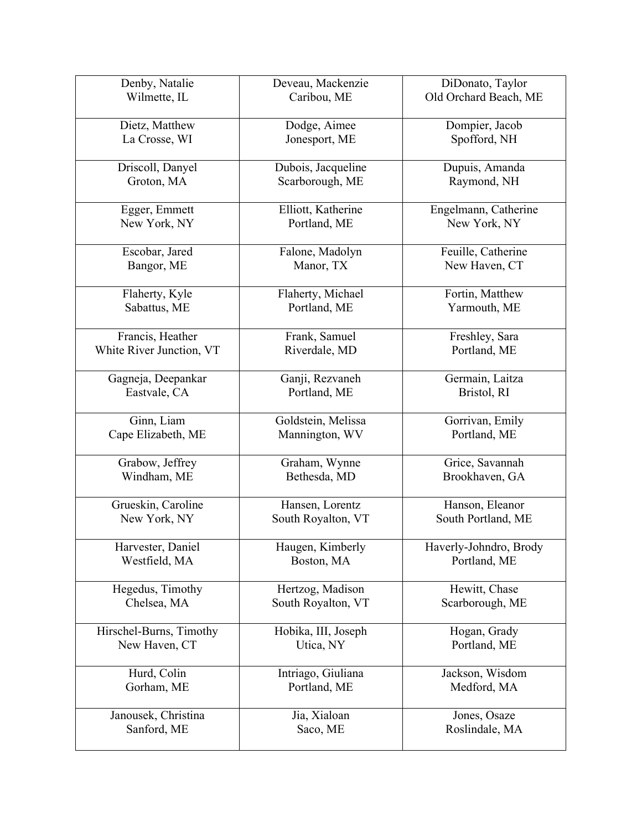| Denby, Natalie           | Deveau, Mackenzie   | DiDonato, Taylor       |
|--------------------------|---------------------|------------------------|
| Wilmette, IL             | Caribou, ME         | Old Orchard Beach, ME  |
| Dietz, Matthew           | Dodge, Aimee        | Dompier, Jacob         |
| La Crosse, WI            | Jonesport, ME       | Spofford, NH           |
| Driscoll, Danyel         | Dubois, Jacqueline  | Dupuis, Amanda         |
| Groton, MA               | Scarborough, ME     | Raymond, NH            |
| Egger, Emmett            | Elliott, Katherine  | Engelmann, Catherine   |
| New York, NY             | Portland, ME        | New York, NY           |
| Escobar, Jared           | Falone, Madolyn     | Feuille, Catherine     |
| Bangor, ME               | Manor, TX           | New Haven, CT          |
| Flaherty, Kyle           | Flaherty, Michael   | Fortin, Matthew        |
| Sabattus, ME             | Portland, ME        | Yarmouth, ME           |
| Francis, Heather         | Frank, Samuel       | Freshley, Sara         |
| White River Junction, VT | Riverdale, MD       | Portland, ME           |
| Gagneja, Deepankar       | Ganji, Rezvaneh     | Germain, Laitza        |
| Eastvale, CA             | Portland, ME        | Bristol, RI            |
| Ginn, Liam               | Goldstein, Melissa  | Gorrivan, Emily        |
| Cape Elizabeth, ME       | Mannington, WV      | Portland, ME           |
| Grabow, Jeffrey          | Graham, Wynne       | Grice, Savannah        |
| Windham, ME              | Bethesda, MD        | Brookhaven, GA         |
| Grueskin, Caroline       | Hansen, Lorentz     | Hanson, Eleanor        |
| New York, NY             | South Royalton, VT  | South Portland, ME     |
| Harvester, Daniel        | Haugen, Kimberly    | Haverly-Johndro, Brody |
| Westfield, MA            | Boston, MA          | Portland, ME           |
| Hegedus, Timothy         | Hertzog, Madison    | Hewitt, Chase          |
| Chelsea, MA              | South Royalton, VT  | Scarborough, ME        |
| Hirschel-Burns, Timothy  | Hobika, III, Joseph | Hogan, Grady           |
| New Haven, CT            | Utica, NY           | Portland, ME           |
| Hurd, Colin              | Intriago, Giuliana  | Jackson, Wisdom        |
| Gorham, ME               | Portland, ME        | Medford, MA            |
| Janousek, Christina      | Jia, Xialoan        | Jones, Osaze           |
| Sanford, ME              | Saco, ME            | Roslindale, MA         |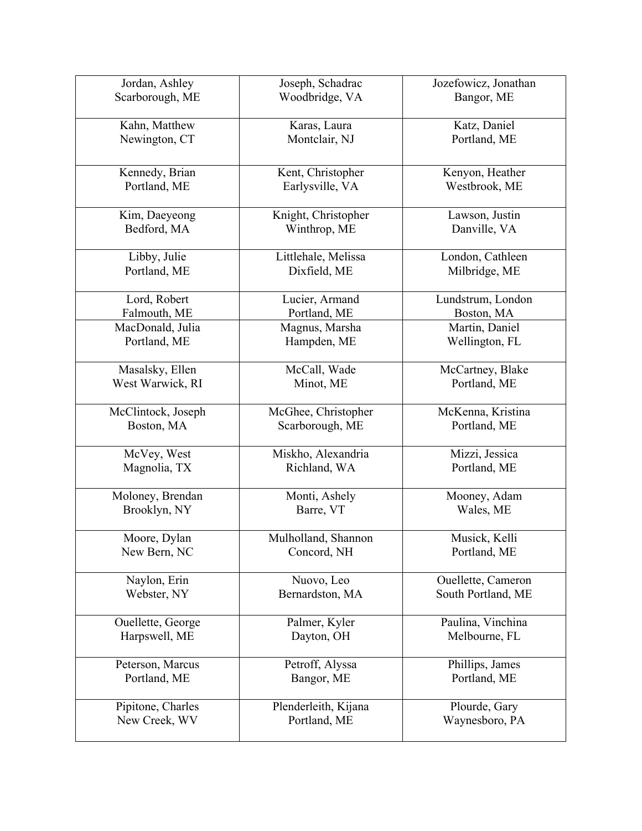| Jordan, Ashley               | Joseph, Schadrac                    | Jozefowicz, Jonathan                     |
|------------------------------|-------------------------------------|------------------------------------------|
| Scarborough, ME              | Woodbridge, VA                      | Bangor, ME                               |
| Kahn, Matthew                | Karas, Laura                        | Katz, Daniel                             |
| Newington, CT                | Montclair, NJ                       | Portland, ME                             |
| Kennedy, Brian               | Kent, Christopher                   | Kenyon, Heather                          |
| Portland, ME                 | Earlysville, VA                     | Westbrook, ME                            |
| Kim, Daeyeong<br>Bedford, MA | Knight, Christopher<br>Winthrop, ME | Lawson, Justin<br>Danville, VA           |
| Libby, Julie                 | Littlehale, Melissa                 | London, Cathleen                         |
| Portland, ME                 | Dixfield, ME                        | Milbridge, ME                            |
| Lord, Robert                 | Lucier, Armand                      | Lundstrum, London                        |
| Falmouth, ME                 | Portland, ME                        | Boston, MA                               |
| MacDonald, Julia             | Magnus, Marsha                      | Martin, Daniel                           |
| Portland, ME                 | Hampden, ME                         | Wellington, FL                           |
| Masalsky, Ellen              | McCall, Wade                        | McCartney, Blake                         |
| West Warwick, RI             | Minot, ME                           | Portland, ME                             |
| McClintock, Joseph           | McGhee, Christopher                 | McKenna, Kristina                        |
| Boston, MA                   | Scarborough, ME                     | Portland, ME                             |
| McVey, West                  | Miskho, Alexandria                  | Mizzi, Jessica                           |
| Magnolia, TX                 | Richland, WA                        | Portland, ME                             |
| Moloney, Brendan             | Monti, Ashely                       | Mooney, Adam                             |
| Brooklyn, NY                 | Barre, VT                           | Wales, ME                                |
| Moore, Dylan                 | Mulholland, Shannon                 | Musick, Kelli                            |
| New Bern, NC                 | Concord, NH                         | Portland, ME                             |
| Naylon, Erin                 | Nuovo, Leo                          | Ouellette, Cameron<br>South Portland, ME |
| Webster, NY                  | Bernardston, MA                     |                                          |
| Ouellette, George            | Palmer, Kyler                       | Paulina, Vinchina                        |
| Harpswell, ME                | Dayton, OH                          | Melbourne, FL                            |
| Peterson, Marcus             | Petroff, Alyssa                     | Phillips, James                          |
| Portland, ME                 | Bangor, ME                          | Portland, ME                             |
| Pipitone, Charles            | Plenderleith, Kijana                | Plourde, Gary                            |
| New Creek, WV                | Portland, ME                        | Waynesboro, PA                           |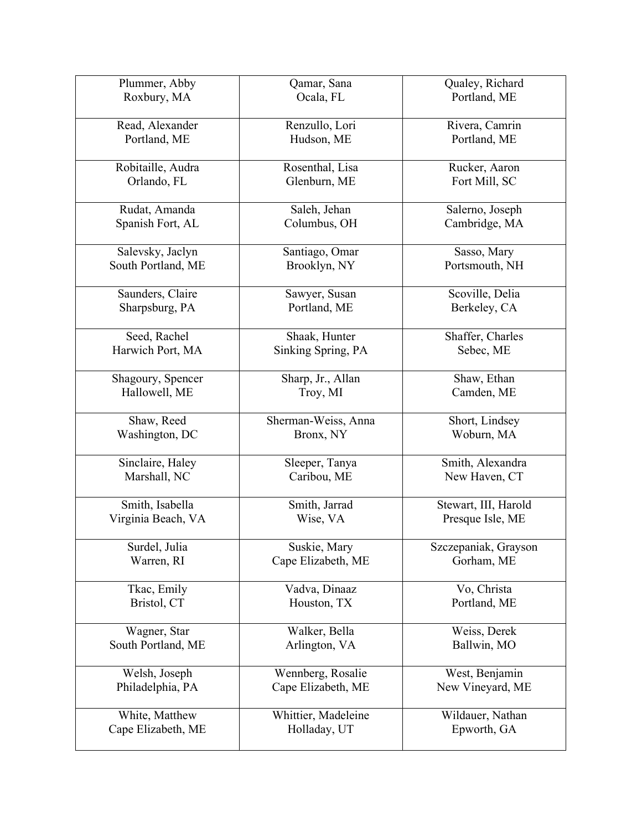| Plummer, Abby                        | Qamar, Sana                         | Qualey, Richard                    |
|--------------------------------------|-------------------------------------|------------------------------------|
| Roxbury, MA                          | Ocala, FL                           | Portland, ME                       |
|                                      |                                     |                                    |
| Read, Alexander                      | Renzullo, Lori                      | Rivera, Camrin                     |
| Portland, ME                         | Hudson, ME                          | Portland, ME                       |
|                                      |                                     |                                    |
| Robitaille, Audra                    | Rosenthal, Lisa                     | Rucker, Aaron                      |
| Orlando, FL                          | Glenburn, ME                        | Fort Mill, SC                      |
|                                      |                                     |                                    |
| Rudat, Amanda                        | Saleh, Jehan                        | Salerno, Joseph                    |
| Spanish Fort, AL                     | Columbus, OH                        | Cambridge, MA                      |
|                                      |                                     |                                    |
| Salevsky, Jaclyn                     | Santiago, Omar                      | Sasso, Mary                        |
| South Portland, ME                   | Brooklyn, NY                        | Portsmouth, NH                     |
|                                      |                                     |                                    |
| Saunders, Claire                     | Sawyer, Susan                       | Scoville, Delia                    |
| Sharpsburg, PA                       | Portland, ME                        | Berkeley, CA                       |
|                                      |                                     |                                    |
| Seed, Rachel                         | Shaak, Hunter                       | Shaffer, Charles                   |
| Harwich Port, MA                     | Sinking Spring, PA                  | Sebec, ME                          |
|                                      |                                     |                                    |
| Shagoury, Spencer                    | Sharp, Jr., Allan                   | Shaw, Ethan                        |
| Hallowell, ME                        | Troy, MI                            | Camden, ME                         |
|                                      |                                     |                                    |
|                                      |                                     |                                    |
| Shaw, Reed                           | Sherman-Weiss, Anna                 | Short, Lindsey                     |
|                                      |                                     |                                    |
| Washington, DC                       | Bronx, NY                           | Woburn, MA                         |
| Sinclaire, Haley                     | Sleeper, Tanya                      | Smith, Alexandra                   |
| Marshall, NC                         | Caribou, ME                         | New Haven, CT                      |
|                                      |                                     |                                    |
| Smith, Isabella                      | Smith, Jarrad                       | Stewart, III, Harold               |
|                                      | Wise, VA                            |                                    |
| Virginia Beach, VA                   |                                     | Presque Isle, ME                   |
| Surdel, Julia                        | Suskie, Mary                        |                                    |
| Warren, RI                           | Cape Elizabeth, ME                  | Szczepaniak, Grayson<br>Gorham, ME |
|                                      |                                     |                                    |
| Tkac, Emily                          | Vadva, Dinaaz                       | Vo, Christa                        |
| Bristol, CT                          | Houston, TX                         | Portland, ME                       |
|                                      |                                     |                                    |
| Wagner, Star                         | Walker, Bella                       | Weiss, Derek                       |
| South Portland, ME                   | Arlington, VA                       | Ballwin, MO                        |
|                                      |                                     |                                    |
| Welsh, Joseph                        | Wennberg, Rosalie                   | West, Benjamin                     |
|                                      |                                     |                                    |
| Philadelphia, PA                     | Cape Elizabeth, ME                  | New Vineyard, ME                   |
|                                      |                                     |                                    |
| White, Matthew<br>Cape Elizabeth, ME | Whittier, Madeleine<br>Holladay, UT | Wildauer, Nathan<br>Epworth, GA    |